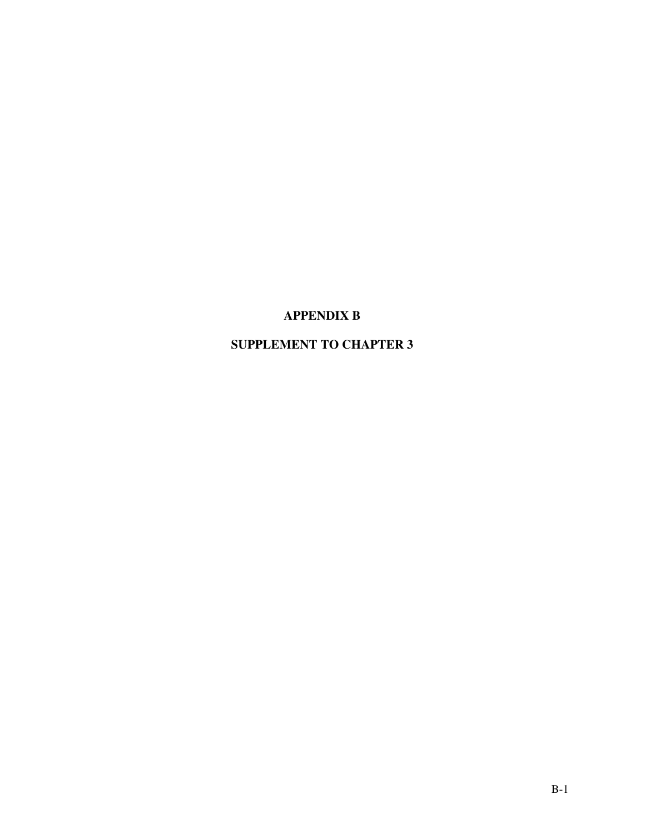## **APPENDIX B**

# **SUPPLEMENT TO CHAPTER 3**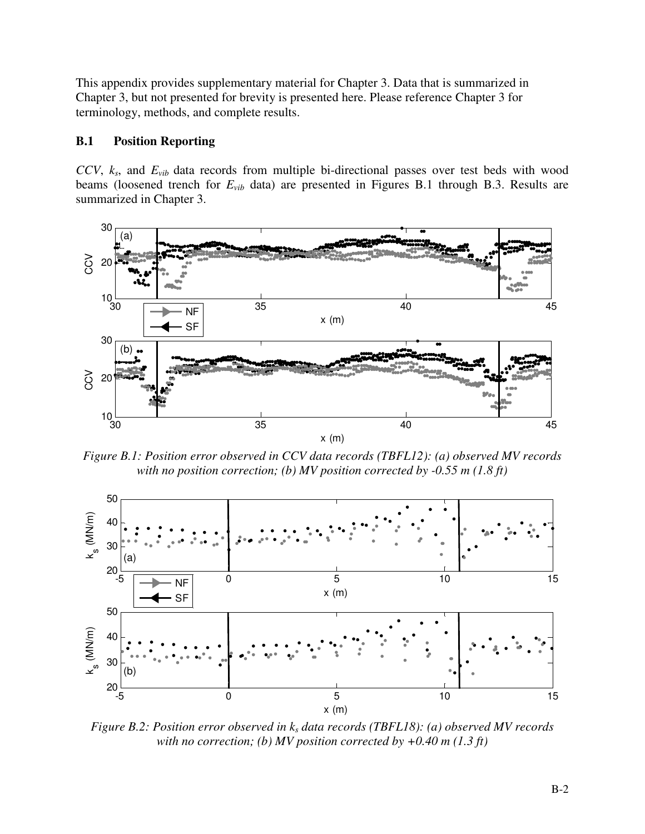This appendix provides supplementary material for Chapter 3. Data that is summarized in Chapter 3, but not presented for brevity is presented here. Please reference Chapter 3 for terminology, methods, and complete results.

## **B.1 Position Reporting**

*CCV*, *ks*, and *Evib* data records from multiple bi-directional passes over test beds with wood beams (loosened trench for *Evib* data) are presented in Figures B.1 through B.3. Results are summarized in Chapter 3.



*Figure B.1: Position error observed in CCV data records (TBFL12): (a) observed MV records with no position correction; (b) MV position corrected by -0.55 m (1.8 ft)*



*Figure B.2: Position error observed in ks data records (TBFL18): (a) observed MV records with no correction; (b) MV position corrected by +0.40 m (1.3 ft)*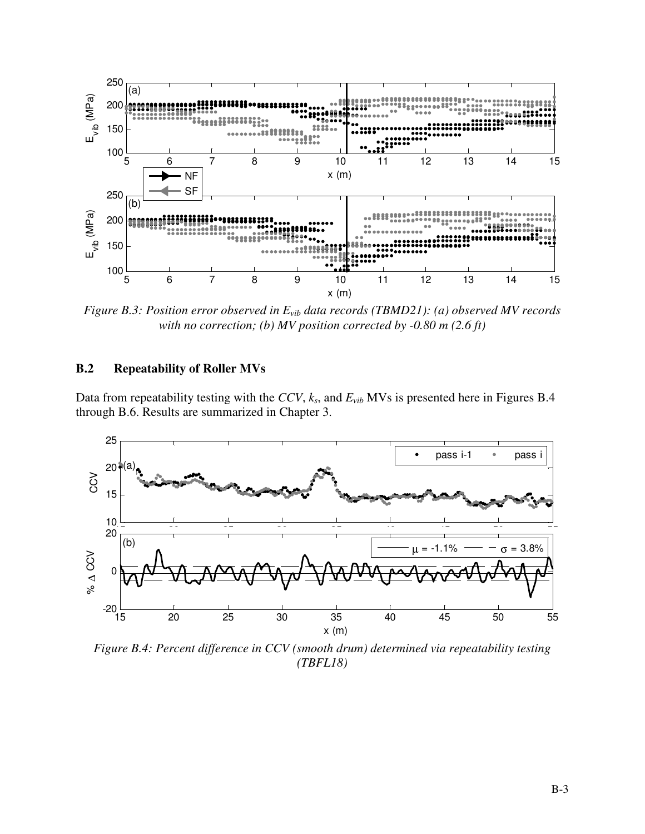

*Figure B.3: Position error observed in*  $E_{vib}$  *data records (TBMD21): (a) observed MV records with no correction; (b) MV position corrected by -0.80 m (2.6 ft)*

## **B.2 Repeatability of Roller MVs**

Data from repeatability testing with the *CCV*, *ks*, and *Evib* MVs is presented here in Figures B.4 through B.6. Results are summarized in Chapter 3.



*Figure B.4: Percent difference in CCV (smooth drum) determined via repeatability testing (TBFL18)*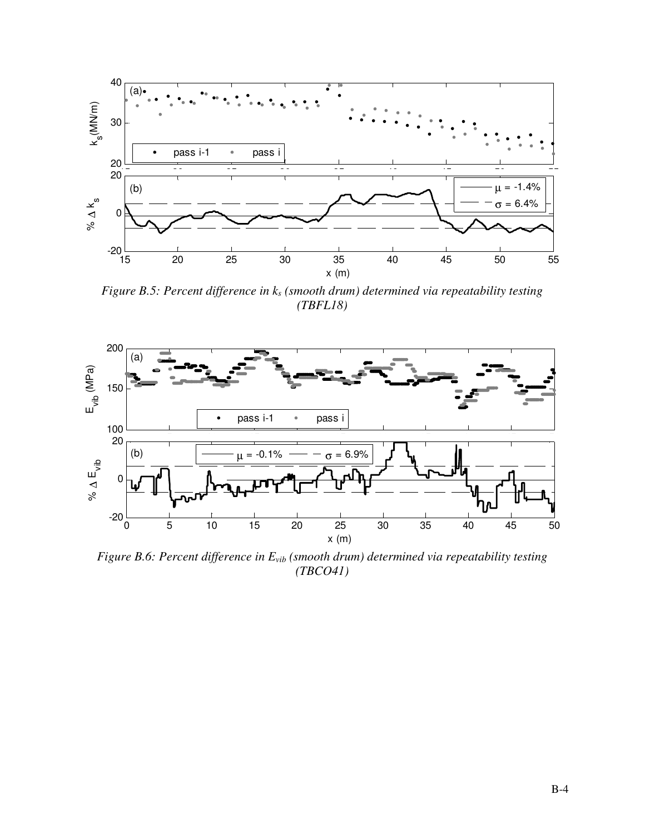

*Figure B.5: Percent difference in ks (smooth drum) determined via repeatability testing (TBFL18)* 



*Figure B.6: Percent difference in Evib (smooth drum) determined via repeatability testing (TBCO41)*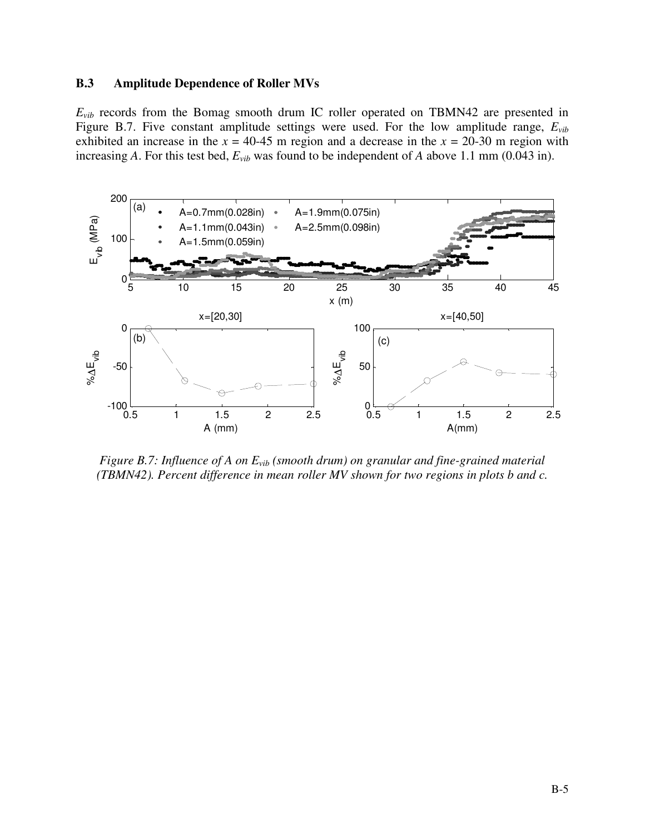### **B.3 Amplitude Dependence of Roller MVs**

 $E_{vib}$  records from the Bomag smooth drum IC roller operated on TBMN42 are presented in Figure B.7. Five constant amplitude settings were used. For the low amplitude range, *Evib* exhibited an increase in the  $x = 40-45$  m region and a decrease in the  $x = 20-30$  m region with increasing *A*. For this test bed, *Evib* was found to be independent of *A* above 1.1 mm (0.043 in).



*Figure B.7: Influence of A on Evib (smooth drum) on granular and fine-grained material (TBMN42). Percent difference in mean roller MV shown for two regions in plots b and c.*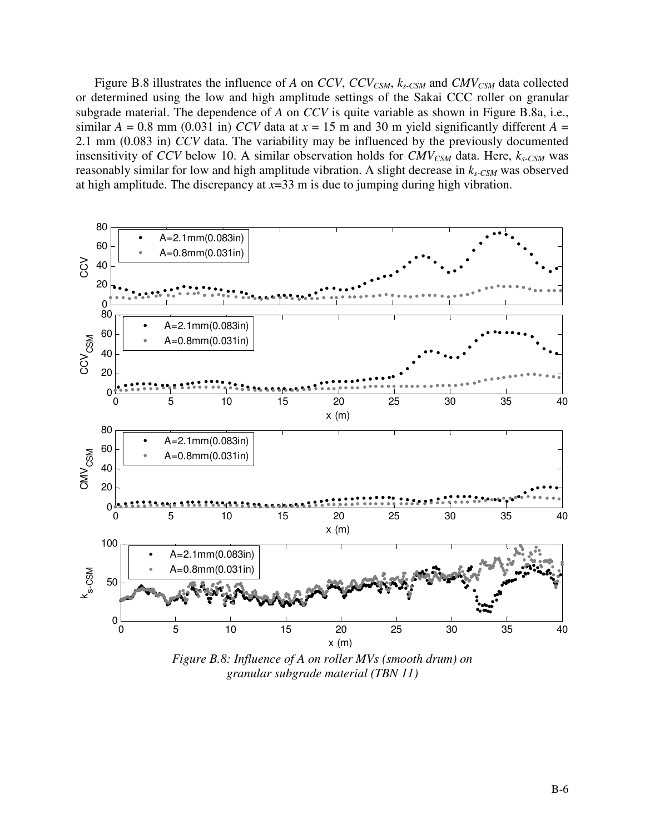Figure B.8 illustrates the influence of *A* on *CCV*, *CCVCSM*, *ks-CSM* and *CMVCSM* data collected or determined using the low and high amplitude settings of the Sakai CCC roller on granular subgrade material. The dependence of *A* on *CCV* is quite variable as shown in Figure B.8a, i.e., similar  $A = 0.8$  mm (0.031 in) *CCV* data at  $x = 15$  m and 30 m yield significantly different  $A =$ 2.1 mm (0.083 in) *CCV* data. The variability may be influenced by the previously documented insensitivity of *CCV* below 10. A similar observation holds for *CMVCSM* data. Here, *ks-CSM* was reasonably similar for low and high amplitude vibration. A slight decrease in *ks-CSM* was observed at high amplitude. The discrepancy at *x*=33 m is due to jumping during high vibration.



*granular subgrade material (TBN 11)*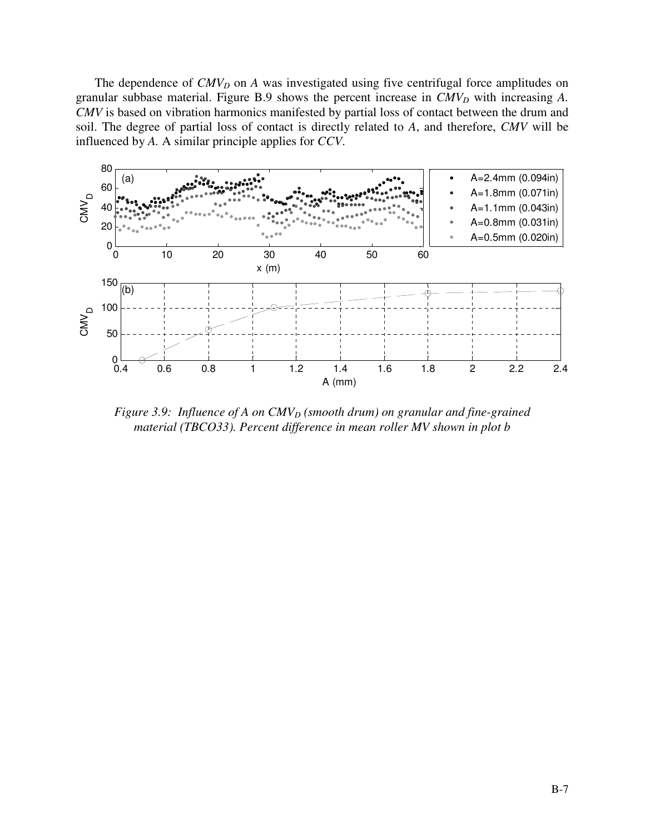The dependence of *CMV<sub>D</sub>* on *A* was investigated using five centrifugal force amplitudes on granular subbase material. Figure B.9 shows the percent increase in *CMVD* with increasing *A. CMV* is based on vibration harmonics manifested by partial loss of contact between the drum and soil. The degree of partial loss of contact is directly related to *A*, and therefore, *CMV* will be influenced by *A.* A similar principle applies for *CCV*.



*Figure 3.9: Influence of A on CMV<sub>D</sub> (smooth drum) on granular and fine-grained material (TBCO33). Percent difference in mean roller MV shown in plot b*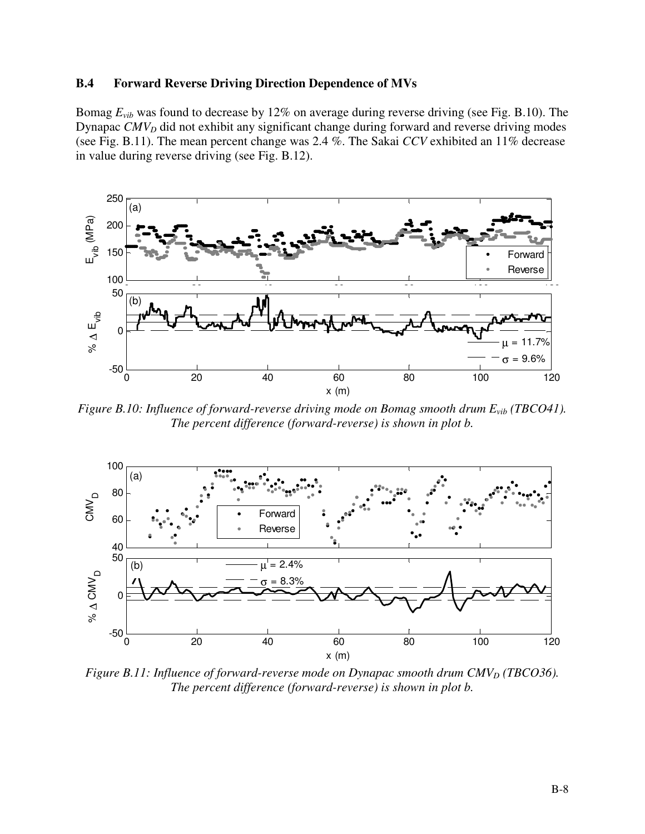### **B.4 Forward Reverse Driving Direction Dependence of MVs**

Bomag *Evib* was found to decrease by 12% on average during reverse driving (see Fig. B.10). The Dynapac *CMVD* did not exhibit any significant change during forward and reverse driving modes (see Fig. B.11). The mean percent change was 2.4 %. The Sakai *CCV* exhibited an 11% decrease in value during reverse driving (see Fig. B.12).



*Figure B.10: Influence of forward-reverse driving mode on Bomag smooth drum Evib (TBCO41). The percent difference (forward-reverse) is shown in plot b.* 



*Figure B.11: Influence of forward-reverse mode on Dynapac smooth drum CMV<sub>D</sub> (TBCO36). The percent difference (forward-reverse) is shown in plot b.*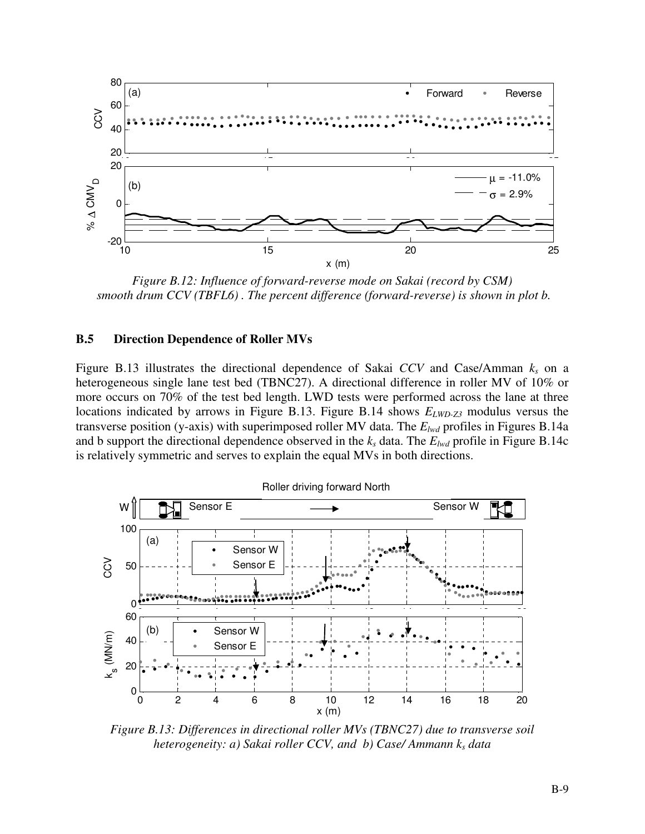

*Figure B.12: Influence of forward-reverse mode on Sakai (record by CSM) smooth drum CCV (TBFL6) . The percent difference (forward-reverse) is shown in plot b.* 

#### **B.5 Direction Dependence of Roller MVs**

Figure B.13 illustrates the directional dependence of Sakai *CCV* and Case/Amman *ks* on a heterogeneous single lane test bed (TBNC27). A directional difference in roller MV of 10% or more occurs on 70% of the test bed length. LWD tests were performed across the lane at three locations indicated by arrows in Figure B.13. Figure B.14 shows  $E_{LWD-Z3}$  modulus versus the transverse position (y-axis) with superimposed roller MV data. The *Elwd* profiles in Figures B.14a and b support the directional dependence observed in the *ks* data. The *Elwd* profile in Figure B.14c is relatively symmetric and serves to explain the equal MVs in both directions.



*Figure B.13: Differences in directional roller MVs (TBNC27) due to transverse soil heterogeneity: a) Sakai roller CCV, and b) Case/ Ammann ks data*